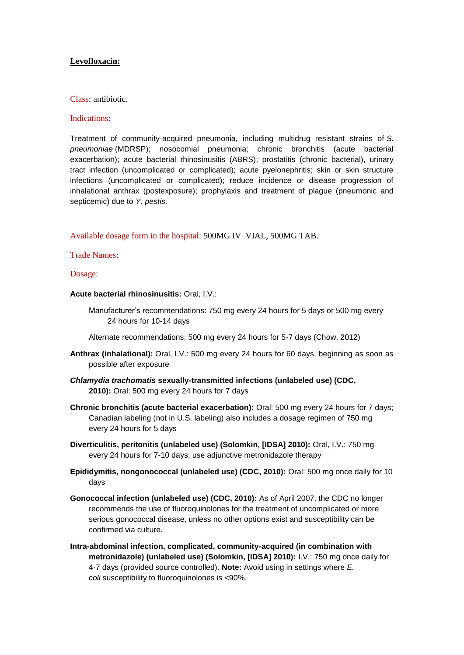# **Levofloxacin:**

Class: antibiotic.

## Indications:

Treatment of community-acquired pneumonia, including multidrug resistant strains of *S. pneumoniae* (MDRSP); nosocomial pneumonia; chronic bronchitis (acute bacterial exacerbation); acute bacterial rhinosinusitis (ABRS); prostatitis (chronic bacterial), urinary tract infection (uncomplicated or complicated); acute pyelonephritis; skin or skin structure infections (uncomplicated or complicated); reduce incidence or disease progression of inhalational anthrax (postexposure); prophylaxis and treatment of plague (pneumonic and septicemic) due to *Y. pestis.*

Available dosage form in the hospital: 500MG IV VIAL, 500MG TAB.

## Trade Names:

#### Dosage:

**Acute bacterial rhinosinusitis:** Oral, I.V.:

Manufacturer's recommendations: 750 mg every 24 hours for 5 days or 500 mg every 24 hours for 10-14 days

Alternate recommendations: 500 mg every 24 hours for 5-7 days (Chow, 2012)

- **Anthrax (inhalational):** Oral, I.V.: 500 mg every 24 hours for 60 days, beginning as soon as possible after exposure
- *Chlamydia trachomatis* **sexually-transmitted infections (unlabeled use) (CDC, 2010):** Oral: 500 mg every 24 hours for 7 days
- **Chronic bronchitis (acute bacterial exacerbation):** Oral: 500 mg every 24 hours for 7 days; Canadian labeling (not in U.S. labeling) also includes a dosage regimen of 750 mg every 24 hours for 5 days
- **Diverticulitis, peritonitis (unlabeled use) (Solomkin, [IDSA] 2010):** Oral, I.V.: 750 mg every 24 hours for 7-10 days; use adjunctive metronidazole therapy
- **Epididymitis, nongonococcal (unlabeled use) (CDC, 2010):** Oral: 500 mg once daily for 10 days
- **Gonococcal infection (unlabeled use) (CDC, 2010):** As of April 2007, the CDC no longer recommends the use of fluoroquinolones for the treatment of uncomplicated or more serious gonococcal disease, unless no other options exist and susceptibility can be confirmed via culture.
- **Intra-abdominal infection, complicated, community-acquired (in combination with metronidazole) (unlabeled use) (Solomkin, [IDSA] 2010):** I.V.: 750 mg once daily for 4-7 days (provided source controlled). **Note:** Avoid using in settings where *E. coli* susceptibility to fluoroquinolones is <90%.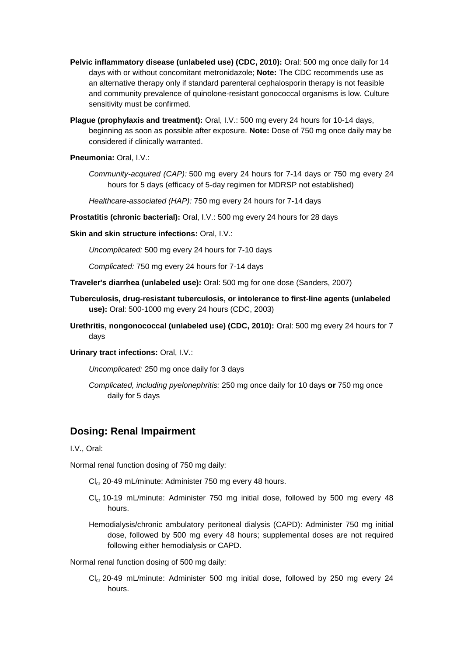- **Pelvic inflammatory disease (unlabeled use) (CDC, 2010):** Oral: 500 mg once daily for 14 days with or without concomitant metronidazole; **Note:** The CDC recommends use as an alternative therapy only if standard parenteral cephalosporin therapy is not feasible and community prevalence of quinolone-resistant gonococcal organisms is low. Culture sensitivity must be confirmed.
- **Plague (prophylaxis and treatment):** Oral, I.V.: 500 mg every 24 hours for 10-14 days, beginning as soon as possible after exposure. **Note:** Dose of 750 mg once daily may be considered if clinically warranted.

**Pneumonia:** Oral, I.V.:

- *Community-acquired (CAP):* 500 mg every 24 hours for 7-14 days or 750 mg every 24 hours for 5 days (efficacy of 5-day regimen for MDRSP not established)
- *Healthcare-associated (HAP):* 750 mg every 24 hours for 7-14 days
- **Prostatitis (chronic bacterial):** Oral, I.V.: 500 mg every 24 hours for 28 days
- **Skin and skin structure infections:** Oral, I.V.:

*Uncomplicated:* 500 mg every 24 hours for 7-10 days

*Complicated:* 750 mg every 24 hours for 7-14 days

- **Traveler's diarrhea (unlabeled use):** Oral: 500 mg for one dose (Sanders, 2007)
- **Tuberculosis, drug-resistant tuberculosis, or intolerance to first-line agents (unlabeled use):** Oral: 500-1000 mg every 24 hours (CDC, 2003)
- **Urethritis, nongonococcal (unlabeled use) (CDC, 2010):** Oral: 500 mg every 24 hours for 7 days
- **Urinary tract infections:** Oral, I.V.:

*Uncomplicated:* 250 mg once daily for 3 days

*Complicated, including pyelonephritis:* 250 mg once daily for 10 days **or** 750 mg once daily for 5 days

# **Dosing: Renal Impairment**

I.V., Oral:

Normal renal function dosing of 750 mg daily:

- Cl<sub>cr</sub> 20-49 mL/minute: Administer 750 mg every 48 hours.
- $Cl_{cr}$  10-19 mL/minute: Administer 750 mg initial dose, followed by 500 mg every 48 hours.
- Hemodialysis/chronic ambulatory peritoneal dialysis (CAPD): Administer 750 mg initial dose, followed by 500 mg every 48 hours; supplemental doses are not required following either hemodialysis or CAPD.

Normal renal function dosing of 500 mg daily:

 $Cl_{cr}$  20-49 mL/minute: Administer 500 mg initial dose, followed by 250 mg every 24 hours.